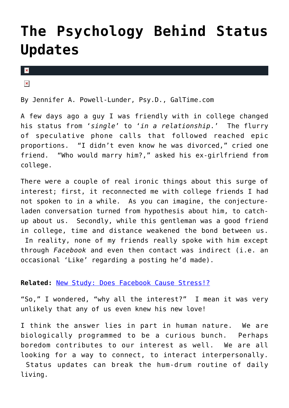## **[The Psychology Behind Status](https://cupidspulse.com/25640/psychology-behind-facebook-twitter-status-updates/) [Updates](https://cupidspulse.com/25640/psychology-behind-facebook-twitter-status-updates/)**

 $\mathbf x$ 

 $\pmb{\times}$ 

By Jennifer A. Powell-Lunder, Psy.D., GalTime.com

A few days ago a guy I was friendly with in college changed his status from '*single*' to '*in a relationship*.' The flurry of speculative phone calls that followed reached epic proportions. "I didn't even know he was divorced," cried one friend. "Who would marry him?," asked his ex-girlfriend from college.

There were a couple of real ironic things about this surge of interest; first, it reconnected me with college friends I had not spoken to in a while. As you can imagine, the conjectureladen conversation turned from hypothesis about him, to catchup about us. Secondly, while this gentleman was a good friend in college, time and distance weakened the bond between us. In reality, none of my friends really spoke with him except through *Facebook* and even then contact was indirect (i.e. an occasional 'Like' regarding a posting he'd made).

## **Related:** [New Study: Does Facebook Cause Stress!?](http://galtime.com/article/living/38412/8394/new-study-does-facebook-cause-stress)

"So," I wondered, "why all the interest?" I mean it was very unlikely that any of us even knew his new love!

I think the answer lies in part in human nature. We are biologically programmed to be a curious bunch. Perhaps boredom contributes to our interest as well. We are all looking for a way to connect, to interact interpersonally. Status updates can break the hum-drum routine of daily living.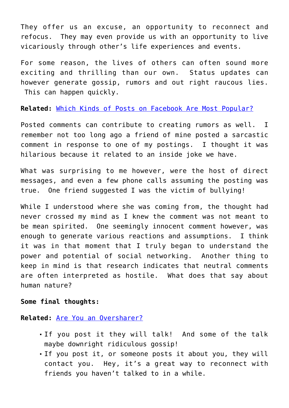They offer us an excuse, an opportunity to reconnect and refocus. They may even provide us with an opportunity to live vicariously through other's life experiences and events.

For some reason, the lives of others can often sound more exciting and thrilling than our own. Status updates can however generate gossip, rumors and out right raucous lies. This can happen quickly.

**Related:** [Which Kinds of Posts on Facebook Are Most Popular?](http://galtime.com/article/living/39890/11108/which-kinds-posts-facebook-are-most-popular)

Posted comments can contribute to creating rumors as well. I remember not too long ago a friend of mine posted a sarcastic comment in response to one of my postings. I thought it was hilarious because it related to an inside joke we have.

What was surprising to me however, were the host of direct messages, and even a few phone calls assuming the posting was true. One friend suggested I was the victim of bullying!

While I understood where she was coming from, the thought had never crossed my mind as I knew the comment was not meant to be mean spirited. One seemingly innocent comment however, was enough to generate various reactions and assumptions. I think it was in that moment that I truly began to understand the power and potential of social networking. Another thing to keep in mind is that research indicates that neutral comments are often interpreted as hostile. What does that say about human nature?

## **Some final thoughts:**

**Related:** [Are You an Oversharer?](http://galtime.com/article/love-sex/21098/21027/are-you-oversharer)

- If you post it they will talk! And some of the talk maybe downright ridiculous gossip!
- If you post it, or someone posts it about you, they will contact you. Hey, it's a great way to reconnect with friends you haven't talked to in a while.